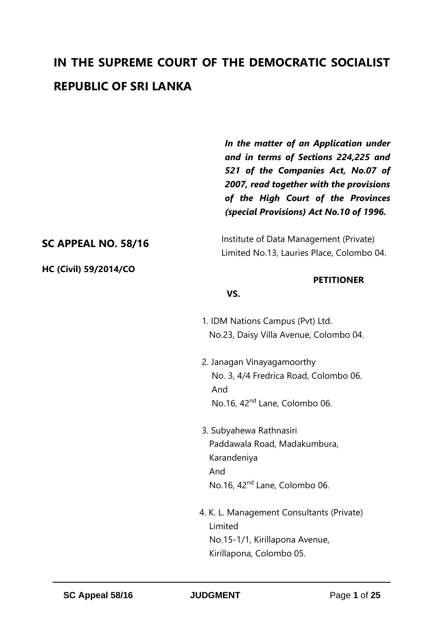# **IN THE SUPREME COURT OF THE DEMOCRATIC SOCIALIST REPUBLIC OF SRI LANKA**

*In the matter of an Application under and in terms of Sections 224,225 and 521 of the Companies Act, No.07 of 2007, read together with the provisions of the High Court of the Provinces (special Provisions) Act No.10 of 1996.*

# **SC APPEAL NO. 58/16**

**HC (Civil) 59/2014/CO**

 Institute of Data Management (Private) Limited No.13, Lauries Place, Colombo 04.

#### **PETITIONER**

#### **VS.**

- 1. IDM Nations Campus (Pvt) Ltd. No.23, Daisy Villa Avenue, Colombo 04.
- 2. Janagan Vinayagamoorthy No. 3, 4/4 Fredrica Road, Colombo 06. And No.16, 42nd Lane, Colombo 06.
- 3. Subyahewa Rathnasiri Paddawala Road, Madakumbura, Karandeniya And No.16, 42nd Lane, Colombo 06.
- 4. K. L. Management Consultants (Private) Limited No.15-1/1, Kirillapona Avenue, Kirillapona, Colombo 05.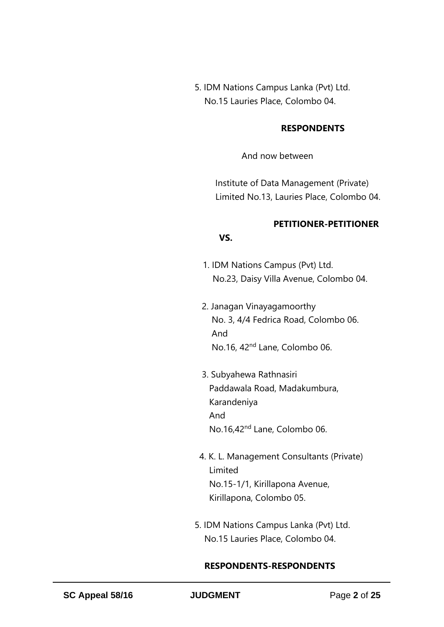5. IDM Nations Campus Lanka (Pvt) Ltd. No.15 Lauries Place, Colombo 04.

#### **RESPONDENTS**

And now between

 Institute of Data Management (Private) Limited No.13, Lauries Place, Colombo 04.

# **PETITIONER-PETITIONER**

- 1. IDM Nations Campus (Pvt) Ltd.
- No.23, Daisy Villa Avenue, Colombo 04.
- 2. Janagan Vinayagamoorthy No. 3, 4/4 Fedrica Road, Colombo 06. And No.16, 42nd Lane, Colombo 06.
- 3. Subyahewa Rathnasiri Paddawala Road, Madakumbura, Karandeniya And No.16,42nd Lane, Colombo 06.
- 4. K. L. Management Consultants (Private) Limited No.15-1/1, Kirillapona Avenue, Kirillapona, Colombo 05.
- 5. IDM Nations Campus Lanka (Pvt) Ltd. No.15 Lauries Place, Colombo 04.

#### **RESPONDENTS-RESPONDENTS**

*VS.* The state of  $\mathbf{V}$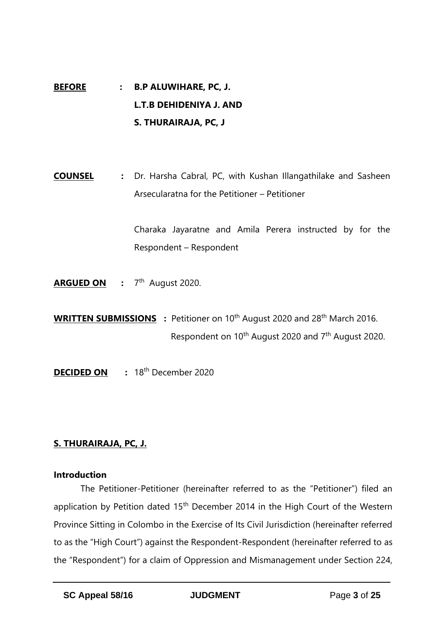# **BEFORE : B.P ALUWIHARE, PC, J. L.T.B DEHIDENIYA J. AND S. THURAIRAJA, PC, J**

**COUNSEL :** Dr. Harsha Cabral, PC, with Kushan Illangathilake and Sasheen Arsecularatna for the Petitioner – Petitioner

> Charaka Jayaratne and Amila Perera instructed by for the Respondent – Respondent

- **ARGUED ON :** 7 th August 2020.
- **WRITTEN SUBMISSIONS** : Petitioner on 10<sup>th</sup> August 2020 and 28<sup>th</sup> March 2016. Respondent on 10th August 2020 and 7th August 2020.
- **DECIDED ON** : 18<sup>th</sup> December 2020

## **S. THURAIRAJA, PC, J.**

#### **Introduction**

The Petitioner-Petitioner (hereinafter referred to as the "Petitioner") filed an application by Petition dated 15<sup>th</sup> December 2014 in the High Court of the Western Province Sitting in Colombo in the Exercise of Its Civil Jurisdiction (hereinafter referred to as the "High Court") against the Respondent-Respondent (hereinafter referred to as the "Respondent") for a claim of Oppression and Mismanagement under Section 224,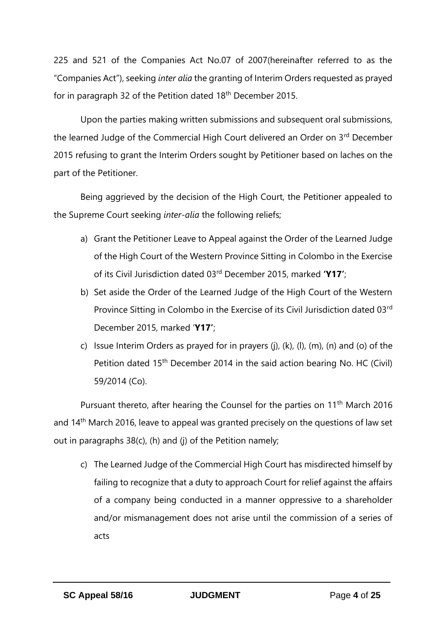225 and 521 of the Companies Act No.07 of 2007(hereinafter referred to as the "Companies Act"), seeking *inter alia* the granting of Interim Orders requested as prayed for in paragraph 32 of the Petition dated 18th December 2015.

Upon the parties making written submissions and subsequent oral submissions, the learned Judge of the Commercial High Court delivered an Order on 3rd December 2015 refusing to grant the Interim Orders sought by Petitioner based on laches on the part of the Petitioner.

Being aggrieved by the decision of the High Court, the Petitioner appealed to the Supreme Court seeking *inter-alia* the following reliefs;

- a) Grant the Petitioner Leave to Appeal against the Order of the Learned Judge of the High Court of the Western Province Sitting in Colombo in the Exercise of its Civil Jurisdiction dated 03rd December 2015, marked **'Y17'**;
- b) Set aside the Order of the Learned Judge of the High Court of the Western Province Sitting in Colombo in the Exercise of its Civil Jurisdiction dated 03rd December 2015, marked '**Y17'**;
- c) Issue Interim Orders as prayed for in prayers (j), (k), (l), (m), (n) and (o) of the Petition dated 15th December 2014 in the said action bearing No. HC (Civil) 59/2014 (Co).

Pursuant thereto, after hearing the Counsel for the parties on 11<sup>th</sup> March 2016 and  $14<sup>th</sup>$  March 2016, leave to appeal was granted precisely on the questions of law set out in paragraphs 38(c), (h) and (j) of the Petition namely;

c) The Learned Judge of the Commercial High Court has misdirected himself by failing to recognize that a duty to approach Court for relief against the affairs of a company being conducted in a manner oppressive to a shareholder and/or mismanagement does not arise until the commission of a series of acts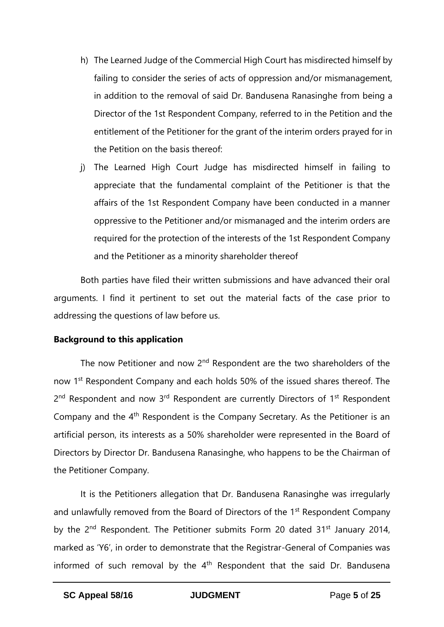- h) The Learned Judge of the Commercial High Court has misdirected himself by failing to consider the series of acts of oppression and/or mismanagement, in addition to the removal of said Dr. Bandusena Ranasinghe from being a Director of the 1st Respondent Company, referred to in the Petition and the entitlement of the Petitioner for the grant of the interim orders prayed for in the Petition on the basis thereof:
- j) The Learned High Court Judge has misdirected himself in failing to appreciate that the fundamental complaint of the Petitioner is that the affairs of the 1st Respondent Company have been conducted in a manner oppressive to the Petitioner and/or mismanaged and the interim orders are required for the protection of the interests of the 1st Respondent Company and the Petitioner as a minority shareholder thereof

Both parties have filed their written submissions and have advanced their oral arguments. I find it pertinent to set out the material facts of the case prior to addressing the questions of law before us.

#### **Background to this application**

The now Petitioner and now  $2<sup>nd</sup>$  Respondent are the two shareholders of the now 1<sup>st</sup> Respondent Company and each holds 50% of the issued shares thereof. The 2<sup>nd</sup> Respondent and now 3<sup>rd</sup> Respondent are currently Directors of 1<sup>st</sup> Respondent Company and the 4th Respondent is the Company Secretary. As the Petitioner is an artificial person, its interests as a 50% shareholder were represented in the Board of Directors by Director Dr. Bandusena Ranasinghe, who happens to be the Chairman of the Petitioner Company.

It is the Petitioners allegation that Dr. Bandusena Ranasinghe was irregularly and unlawfully removed from the Board of Directors of the 1<sup>st</sup> Respondent Company by the 2<sup>nd</sup> Respondent. The Petitioner submits Form 20 dated 31<sup>st</sup> January 2014, marked as 'Y6', in order to demonstrate that the Registrar-General of Companies was informed of such removal by the  $4<sup>th</sup>$  Respondent that the said Dr. Bandusena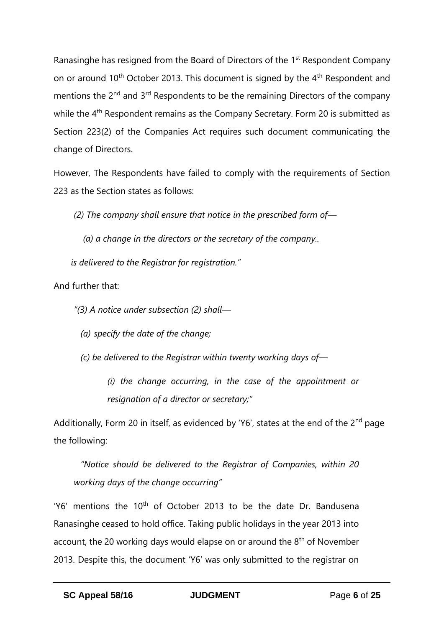Ranasinghe has resigned from the Board of Directors of the 1<sup>st</sup> Respondent Company on or around 10<sup>th</sup> October 2013. This document is signed by the 4<sup>th</sup> Respondent and mentions the 2<sup>nd</sup> and 3<sup>rd</sup> Respondents to be the remaining Directors of the company while the 4<sup>th</sup> Respondent remains as the Company Secretary. Form 20 is submitted as Section 223(2) of the Companies Act requires such document communicating the change of Directors.

However, The Respondents have failed to comply with the requirements of Section 223 as the Section states as follows:

*(2) The company shall ensure that notice in the prescribed form of—*

*(a) a change in the directors or the secretary of the company..*

 *is delivered to the Registrar for registration."* 

And further that:

*"(3) A notice under subsection (2) shall—*

*(a) specify the date of the change;*

*(c) be delivered to the Registrar within twenty working days of—*

*(i) the change occurring, in the case of the appointment or resignation of a director or secretary;"*

Additionally, Form 20 in itself, as evidenced by 'Y6', states at the end of the 2<sup>nd</sup> page the following:

*"Notice should be delivered to the Registrar of Companies, within 20 working days of the change occurring"*

'Y6' mentions the  $10<sup>th</sup>$  of October 2013 to be the date Dr. Bandusena Ranasinghe ceased to hold office. Taking public holidays in the year 2013 into account, the 20 working days would elapse on or around the 8<sup>th</sup> of November 2013. Despite this, the document 'Y6' was only submitted to the registrar on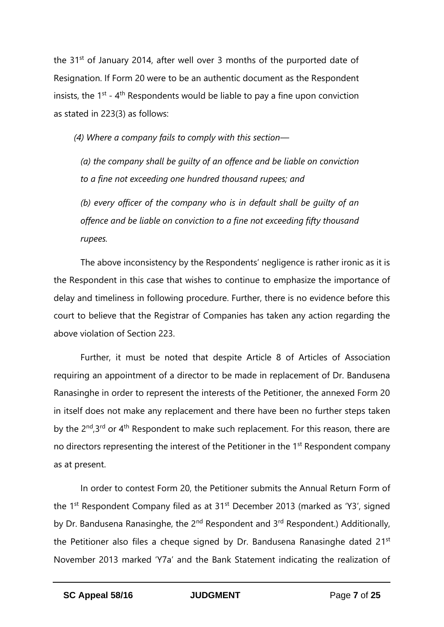the 31<sup>st</sup> of January 2014, after well over 3 months of the purported date of Resignation. If Form 20 were to be an authentic document as the Respondent insists, the  $1<sup>st</sup>$  - 4<sup>th</sup> Respondents would be liable to pay a fine upon conviction as stated in 223(3) as follows:

*(4) Where a company fails to comply with this section—*

*(a) the company shall be guilty of an offence and be liable on conviction to a fine not exceeding one hundred thousand rupees; and* 

*(b) every officer of the company who is in default shall be guilty of an offence and be liable on conviction to a fine not exceeding fifty thousand rupees.*

The above inconsistency by the Respondents' negligence is rather ironic as it is the Respondent in this case that wishes to continue to emphasize the importance of delay and timeliness in following procedure. Further, there is no evidence before this court to believe that the Registrar of Companies has taken any action regarding the above violation of Section 223.

Further, it must be noted that despite Article 8 of Articles of Association requiring an appointment of a director to be made in replacement of Dr. Bandusena Ranasinghe in order to represent the interests of the Petitioner, the annexed Form 20 in itself does not make any replacement and there have been no further steps taken by the 2<sup>nd</sup>,3<sup>rd</sup> or 4<sup>th</sup> Respondent to make such replacement. For this reason, there are no directors representing the interest of the Petitioner in the 1<sup>st</sup> Respondent company as at present.

In order to contest Form 20, the Petitioner submits the Annual Return Form of the 1<sup>st</sup> Respondent Company filed as at 31<sup>st</sup> December 2013 (marked as 'Y3', signed by Dr. Bandusena Ranasinghe, the 2<sup>nd</sup> Respondent and 3<sup>rd</sup> Respondent.) Additionally, the Petitioner also files a cheque signed by Dr. Bandusena Ranasinghe dated 21<sup>st</sup> November 2013 marked 'Y7a' and the Bank Statement indicating the realization of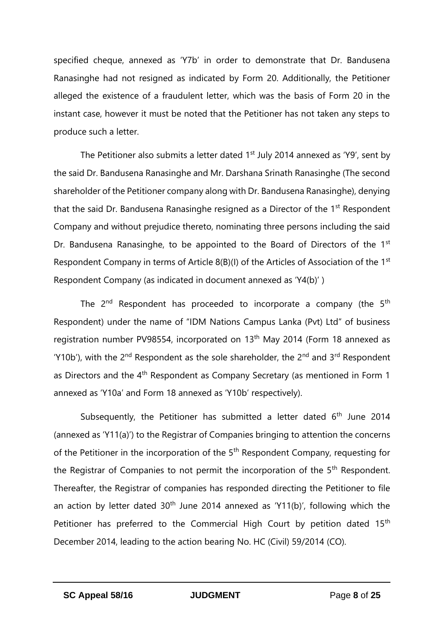specified cheque, annexed as 'Y7b' in order to demonstrate that Dr. Bandusena Ranasinghe had not resigned as indicated by Form 20. Additionally, the Petitioner alleged the existence of a fraudulent letter, which was the basis of Form 20 in the instant case, however it must be noted that the Petitioner has not taken any steps to produce such a letter.

The Petitioner also submits a letter dated  $1<sup>st</sup>$  July 2014 annexed as 'Y9', sent by the said Dr. Bandusena Ranasinghe and Mr. Darshana Srinath Ranasinghe (The second shareholder of the Petitioner company along with Dr. Bandusena Ranasinghe), denying that the said Dr. Bandusena Ranasinghe resigned as a Director of the 1<sup>st</sup> Respondent Company and without prejudice thereto, nominating three persons including the said Dr. Bandusena Ranasinghe, to be appointed to the Board of Directors of the 1<sup>st</sup> Respondent Company in terms of Article 8(B)(I) of the Articles of Association of the 1<sup>st</sup> Respondent Company (as indicated in document annexed as 'Y4(b)' )

The  $2^{nd}$  Respondent has proceeded to incorporate a company (the  $5^{th}$ ) Respondent) under the name of "IDM Nations Campus Lanka (Pvt) Ltd" of business registration number PV98554, incorporated on 13<sup>th</sup> May 2014 (Form 18 annexed as 'Y10b'), with the  $2^{nd}$  Respondent as the sole shareholder, the  $2^{nd}$  and  $3^{rd}$  Respondent as Directors and the 4<sup>th</sup> Respondent as Company Secretary (as mentioned in Form 1 annexed as 'Y10a' and Form 18 annexed as 'Y10b' respectively).

Subsequently, the Petitioner has submitted a letter dated  $6<sup>th</sup>$  June 2014 (annexed as 'Y11(a)') to the Registrar of Companies bringing to attention the concerns of the Petitioner in the incorporation of the 5<sup>th</sup> Respondent Company, requesting for the Registrar of Companies to not permit the incorporation of the 5<sup>th</sup> Respondent. Thereafter, the Registrar of companies has responded directing the Petitioner to file an action by letter dated  $30<sup>th</sup>$  June 2014 annexed as 'Y11(b)', following which the Petitioner has preferred to the Commercial High Court by petition dated 15<sup>th</sup> December 2014, leading to the action bearing No. HC (Civil) 59/2014 (CO).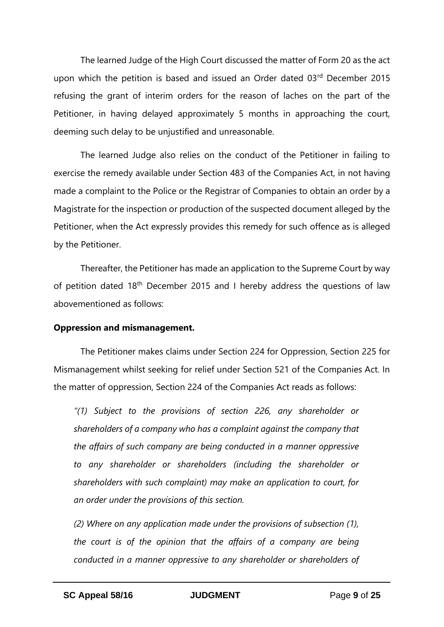The learned Judge of the High Court discussed the matter of Form 20 as the act upon which the petition is based and issued an Order dated 03rd December 2015 refusing the grant of interim orders for the reason of laches on the part of the Petitioner, in having delayed approximately 5 months in approaching the court, deeming such delay to be unjustified and unreasonable.

The learned Judge also relies on the conduct of the Petitioner in failing to exercise the remedy available under Section 483 of the Companies Act, in not having made a complaint to the Police or the Registrar of Companies to obtain an order by a Magistrate for the inspection or production of the suspected document alleged by the Petitioner, when the Act expressly provides this remedy for such offence as is alleged by the Petitioner.

Thereafter, the Petitioner has made an application to the Supreme Court by way of petition dated 18<sup>th</sup> December 2015 and I hereby address the questions of law abovementioned as follows:

#### **Oppression and mismanagement.**

The Petitioner makes claims under Section 224 for Oppression, Section 225 for Mismanagement whilst seeking for relief under Section 521 of the Companies Act. In the matter of oppression, Section 224 of the Companies Act reads as follows:

*"(1) Subject to the provisions of section 226, any shareholder or shareholders of a company who has a complaint against the company that the affairs of such company are being conducted in a manner oppressive to any shareholder or shareholders (including the shareholder or shareholders with such complaint) may make an application to court, for an order under the provisions of this section.*

*(2) Where on any application made under the provisions of subsection (1), the court is of the opinion that the affairs of a company are being conducted in a manner oppressive to any shareholder or shareholders of*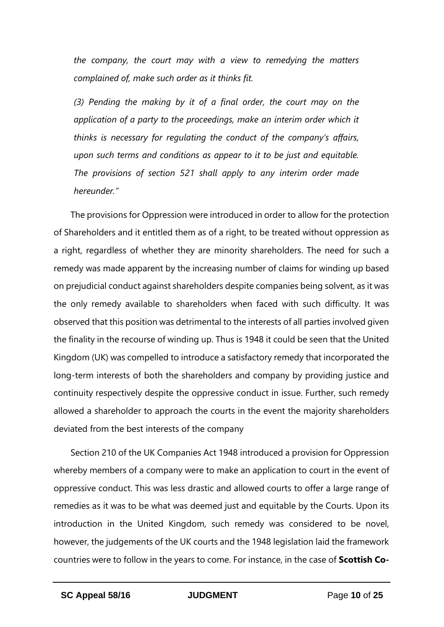*the company, the court may with a view to remedying the matters complained of, make such order as it thinks fit.*

*(3) Pending the making by it of a final order, the court may on the*  application of a party to the proceedings, make an interim order which it *thinks is necessary for regulating the conduct of the company's affairs, upon such terms and conditions as appear to it to be just and equitable. The provisions of section 521 shall apply to any interim order made hereunder."*

The provisions for Oppression were introduced in order to allow for the protection of Shareholders and it entitled them as of a right, to be treated without oppression as a right, regardless of whether they are minority shareholders. The need for such a remedy was made apparent by the increasing number of claims for winding up based on prejudicial conduct against shareholders despite companies being solvent, as it was the only remedy available to shareholders when faced with such difficulty. It was observed that this position was detrimental to the interests of all parties involved given the finality in the recourse of winding up. Thus is 1948 it could be seen that the United Kingdom (UK) was compelled to introduce a satisfactory remedy that incorporated the long-term interests of both the shareholders and company by providing justice and continuity respectively despite the oppressive conduct in issue. Further, such remedy allowed a shareholder to approach the courts in the event the majority shareholders deviated from the best interests of the company

Section 210 of the UK Companies Act 1948 introduced a provision for Oppression whereby members of a company were to make an application to court in the event of oppressive conduct. This was less drastic and allowed courts to offer a large range of remedies as it was to be what was deemed just and equitable by the Courts. Upon its introduction in the United Kingdom, such remedy was considered to be novel, however, the judgements of the UK courts and the 1948 legislation laid the framework countries were to follow in the years to come. For instance, in the case of **Scottish Co-**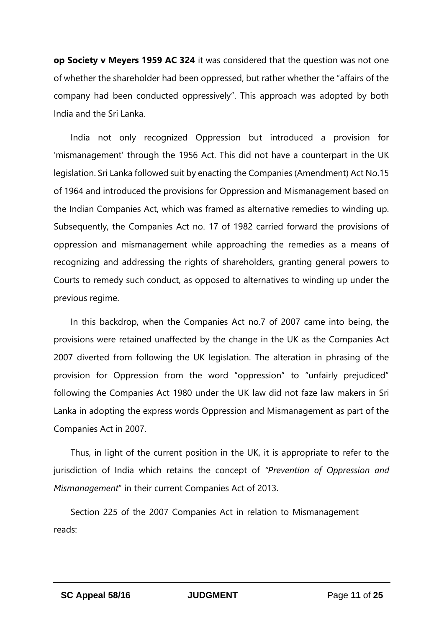**op Society v Meyers 1959 AC 324** it was considered that the question was not one of whether the shareholder had been oppressed, but rather whether the "affairs of the company had been conducted oppressively". This approach was adopted by both India and the Sri Lanka.

India not only recognized Oppression but introduced a provision for 'mismanagement' through the 1956 Act. This did not have a counterpart in the UK legislation. Sri Lanka followed suit by enacting the Companies (Amendment) Act No.15 of 1964 and introduced the provisions for Oppression and Mismanagement based on the Indian Companies Act, which was framed as alternative remedies to winding up. Subsequently, the Companies Act no. 17 of 1982 carried forward the provisions of oppression and mismanagement while approaching the remedies as a means of recognizing and addressing the rights of shareholders, granting general powers to Courts to remedy such conduct, as opposed to alternatives to winding up under the previous regime.

In this backdrop, when the Companies Act no.7 of 2007 came into being, the provisions were retained unaffected by the change in the UK as the Companies Act 2007 diverted from following the UK legislation. The alteration in phrasing of the provision for Oppression from the word "oppression" to "unfairly prejudiced" following the Companies Act 1980 under the UK law did not faze law makers in Sri Lanka in adopting the express words Oppression and Mismanagement as part of the Companies Act in 2007.

Thus, in light of the current position in the UK, it is appropriate to refer to the jurisdiction of India which retains the concept of *"Prevention of Oppression and Mismanagement*" in their current Companies Act of 2013.

Section 225 of the 2007 Companies Act in relation to Mismanagement reads: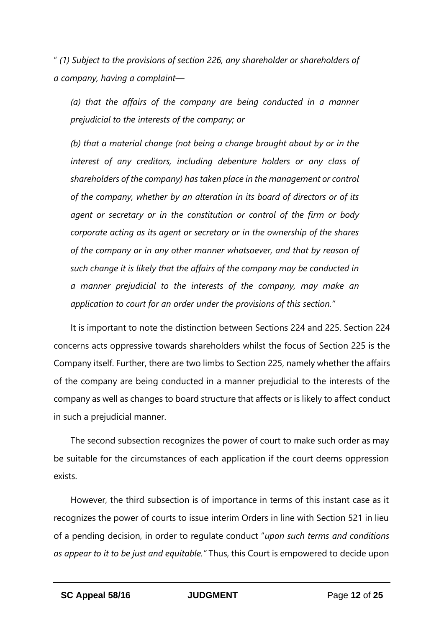" *(1) Subject to the provisions of section 226, any shareholder or shareholders of a company, having a complaint—*

*(a) that the affairs of the company are being conducted in a manner prejudicial to the interests of the company; or* 

*(b) that a material change (not being a change brought about by or in the interest of any creditors, including debenture holders or any class of shareholders of the company) has taken place in the management or control of the company, whether by an alteration in its board of directors or of its agent or secretary or in the constitution or control of the firm or body corporate acting as its agent or secretary or in the ownership of the shares of the company or in any other manner whatsoever, and that by reason of such change it is likely that the affairs of the company may be conducted in a manner prejudicial to the interests of the company, may make an application to court for an order under the provisions of this section."*

It is important to note the distinction between Sections 224 and 225. Section 224 concerns acts oppressive towards shareholders whilst the focus of Section 225 is the Company itself. Further, there are two limbs to Section 225, namely whether the affairs of the company are being conducted in a manner prejudicial to the interests of the company as well as changes to board structure that affects or is likely to affect conduct in such a prejudicial manner.

The second subsection recognizes the power of court to make such order as may be suitable for the circumstances of each application if the court deems oppression exists.

However, the third subsection is of importance in terms of this instant case as it recognizes the power of courts to issue interim Orders in line with Section 521 in lieu of a pending decision, in order to regulate conduct "*upon such terms and conditions as appear to it to be just and equitable."* Thus, this Court is empowered to decide upon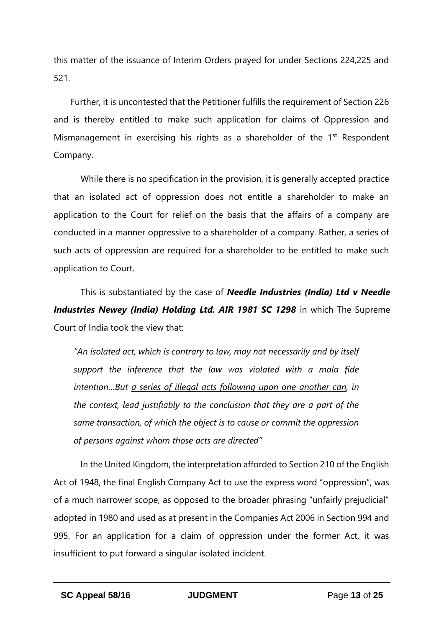this matter of the issuance of Interim Orders prayed for under Sections 224,225 and 521.

Further, it is uncontested that the Petitioner fulfills the requirement of Section 226 and is thereby entitled to make such application for claims of Oppression and Mismanagement in exercising his rights as a shareholder of the  $1<sup>st</sup>$  Respondent Company.

While there is no specification in the provision, it is generally accepted practice that an isolated act of oppression does not entitle a shareholder to make an application to the Court for relief on the basis that the affairs of a company are conducted in a manner oppressive to a shareholder of a company. Rather, a series of such acts of oppression are required for a shareholder to be entitled to make such application to Court.

This is substantiated by the case of *Needle Industries (India) Ltd v Needle Industries Newey (India) Holding Ltd. AIR 1981 SC 1298* in which The Supreme Court of India took the view that:

*"An isolated act, which is contrary to law, may not necessarily and by itself support the inference that the law was violated with a mala fide intention…But a series of illegal acts following upon one another can, in the context, lead justifiably to the conclusion that they are a part of the same transaction, of which the object is to cause or commit the oppression of persons against whom those acts are directed"*

In the United Kingdom, the interpretation afforded to Section 210 of the English Act of 1948, the final English Company Act to use the express word "oppression", was of a much narrower scope, as opposed to the broader phrasing "unfairly prejudicial" adopted in 1980 and used as at present in the Companies Act 2006 in Section 994 and 995. For an application for a claim of oppression under the former Act, it was insufficient to put forward a singular isolated incident.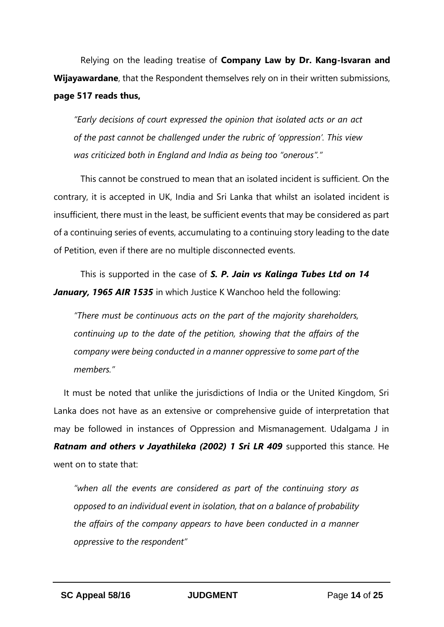Relying on the leading treatise of **Company Law by Dr. Kang-Isvaran and Wijayawardane**, that the Respondent themselves rely on in their written submissions, **page 517 reads thus,**

*"Early decisions of court expressed the opinion that isolated acts or an act of the past cannot be challenged under the rubric of 'oppression'. This view was criticized both in England and India as being too "onerous"."*

This cannot be construed to mean that an isolated incident is sufficient. On the contrary, it is accepted in UK, India and Sri Lanka that whilst an isolated incident is insufficient, there must in the least, be sufficient events that may be considered as part of a continuing series of events, accumulating to a continuing story leading to the date of Petition, even if there are no multiple disconnected events.

This is supported in the case of *S. P. Jain vs Kalinga Tubes Ltd on 14 January, 1965 AIR 1535* in which Justice K Wanchoo held the following:

*"There must be continuous acts on the part of the majority shareholders, continuing up to the date of the petition, showing that the affairs of the company were being conducted in a manner oppressive to some part of the members."*

It must be noted that unlike the jurisdictions of India or the United Kingdom, Sri Lanka does not have as an extensive or comprehensive guide of interpretation that may be followed in instances of Oppression and Mismanagement. Udalgama J in *Ratnam and others v Jayathileka (2002) 1 Sri LR 409* supported this stance. He went on to state that:

*"when all the events are considered as part of the continuing story as opposed to an individual event in isolation, that on a balance of probability the affairs of the company appears to have been conducted in a manner oppressive to the respondent"*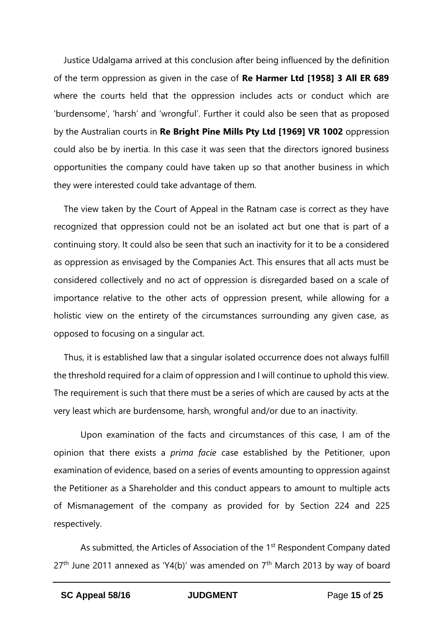Justice Udalgama arrived at this conclusion after being influenced by the definition of the term oppression as given in the case of **Re Harmer Ltd [1958] 3 All ER 689** where the courts held that the oppression includes acts or conduct which are 'burdensome', 'harsh' and 'wrongful'. Further it could also be seen that as proposed by the Australian courts in **Re Bright Pine Mills Pty Ltd [1969] VR 1002** oppression could also be by inertia. In this case it was seen that the directors ignored business opportunities the company could have taken up so that another business in which they were interested could take advantage of them.

The view taken by the Court of Appeal in the Ratnam case is correct as they have recognized that oppression could not be an isolated act but one that is part of a continuing story. It could also be seen that such an inactivity for it to be a considered as oppression as envisaged by the Companies Act. This ensures that all acts must be considered collectively and no act of oppression is disregarded based on a scale of importance relative to the other acts of oppression present, while allowing for a holistic view on the entirety of the circumstances surrounding any given case, as opposed to focusing on a singular act.

Thus, it is established law that a singular isolated occurrence does not always fulfill the threshold required for a claim of oppression and I will continue to uphold this view. The requirement is such that there must be a series of which are caused by acts at the very least which are burdensome, harsh, wrongful and/or due to an inactivity.

Upon examination of the facts and circumstances of this case, I am of the opinion that there exists a *prima facie* case established by the Petitioner, upon examination of evidence, based on a series of events amounting to oppression against the Petitioner as a Shareholder and this conduct appears to amount to multiple acts of Mismanagement of the company as provided for by Section 224 and 225 respectively.

As submitted, the Articles of Association of the 1<sup>st</sup> Respondent Company dated  $27<sup>th</sup>$  June 2011 annexed as 'Y4(b)' was amended on  $7<sup>th</sup>$  March 2013 by way of board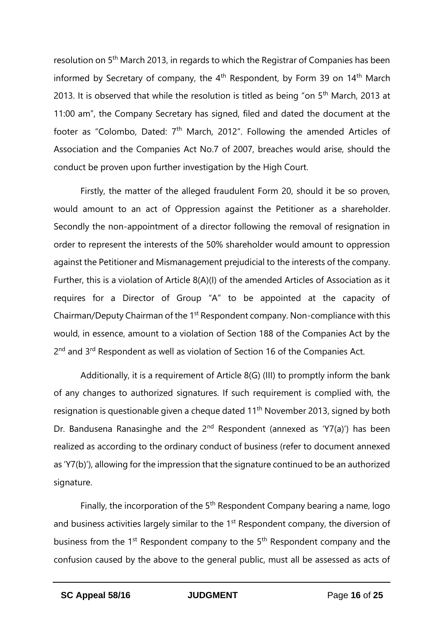resolution on 5th March 2013, in regards to which the Registrar of Companies has been informed by Secretary of company, the  $4<sup>th</sup>$  Respondent, by Form 39 on 14<sup>th</sup> March 2013. It is observed that while the resolution is titled as being "on 5<sup>th</sup> March, 2013 at 11:00 am", the Company Secretary has signed, filed and dated the document at the footer as "Colombo, Dated: 7<sup>th</sup> March, 2012". Following the amended Articles of Association and the Companies Act No.7 of 2007, breaches would arise, should the conduct be proven upon further investigation by the High Court.

Firstly, the matter of the alleged fraudulent Form 20, should it be so proven, would amount to an act of Oppression against the Petitioner as a shareholder. Secondly the non-appointment of a director following the removal of resignation in order to represent the interests of the 50% shareholder would amount to oppression against the Petitioner and Mismanagement prejudicial to the interests of the company. Further, this is a violation of Article 8(A)(I) of the amended Articles of Association as it requires for a Director of Group "A" to be appointed at the capacity of Chairman/Deputy Chairman of the 1<sup>st</sup> Respondent company. Non-compliance with this would, in essence, amount to a violation of Section 188 of the Companies Act by the 2<sup>nd</sup> and 3<sup>rd</sup> Respondent as well as violation of Section 16 of the Companies Act.

Additionally, it is a requirement of Article 8(G) (III) to promptly inform the bank of any changes to authorized signatures. If such requirement is complied with, the resignation is questionable given a cheque dated 11th November 2013, signed by both Dr. Bandusena Ranasinghe and the  $2<sup>nd</sup>$  Respondent (annexed as 'Y7(a)') has been realized as according to the ordinary conduct of business (refer to document annexed as 'Y7(b)'), allowing for the impression that the signature continued to be an authorized signature.

Finally, the incorporation of the 5<sup>th</sup> Respondent Company bearing a name, logo and business activities largely similar to the 1<sup>st</sup> Respondent company, the diversion of business from the 1<sup>st</sup> Respondent company to the 5<sup>th</sup> Respondent company and the confusion caused by the above to the general public, must all be assessed as acts of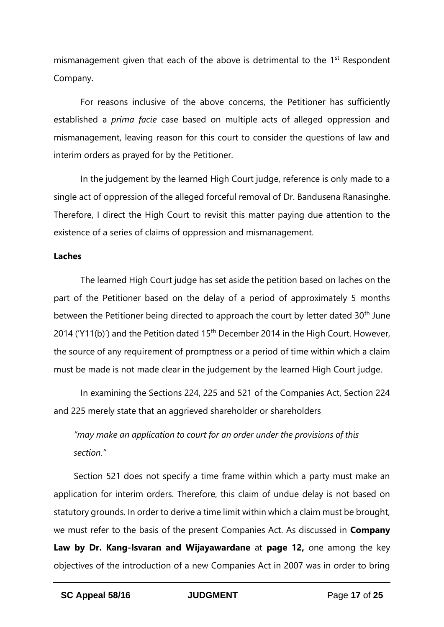mismanagement given that each of the above is detrimental to the 1<sup>st</sup> Respondent Company.

For reasons inclusive of the above concerns, the Petitioner has sufficiently established a *prima facie* case based on multiple acts of alleged oppression and mismanagement, leaving reason for this court to consider the questions of law and interim orders as prayed for by the Petitioner.

In the judgement by the learned High Court judge, reference is only made to a single act of oppression of the alleged forceful removal of Dr. Bandusena Ranasinghe. Therefore, I direct the High Court to revisit this matter paying due attention to the existence of a series of claims of oppression and mismanagement.

#### **Laches**

The learned High Court judge has set aside the petition based on laches on the part of the Petitioner based on the delay of a period of approximately 5 months between the Petitioner being directed to approach the court by letter dated 30<sup>th</sup> June 2014 ('Y11(b)') and the Petition dated  $15<sup>th</sup>$  December 2014 in the High Court. However, the source of any requirement of promptness or a period of time within which a claim must be made is not made clear in the judgement by the learned High Court judge.

In examining the Sections 224, 225 and 521 of the Companies Act, Section 224 and 225 merely state that an aggrieved shareholder or shareholders

*"may make an application to court for an order under the provisions of this section."*

Section 521 does not specify a time frame within which a party must make an application for interim orders. Therefore, this claim of undue delay is not based on statutory grounds. In order to derive a time limit within which a claim must be brought, we must refer to the basis of the present Companies Act. As discussed in **Company Law by Dr. Kang-Isvaran and Wijayawardane** at **page 12,** one among the key objectives of the introduction of a new Companies Act in 2007 was in order to bring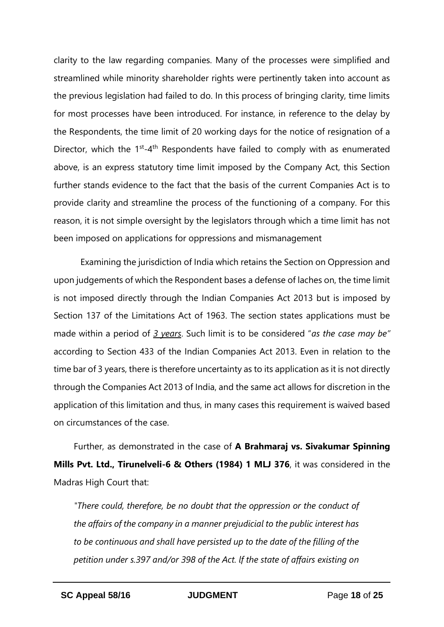clarity to the law regarding companies. Many of the processes were simplified and streamlined while minority shareholder rights were pertinently taken into account as the previous legislation had failed to do. In this process of bringing clarity, time limits for most processes have been introduced. For instance, in reference to the delay by the Respondents, the time limit of 20 working days for the notice of resignation of a Director, which the 1<sup>st</sup>-4<sup>th</sup> Respondents have failed to comply with as enumerated above, is an express statutory time limit imposed by the Company Act, this Section further stands evidence to the fact that the basis of the current Companies Act is to provide clarity and streamline the process of the functioning of a company. For this reason, it is not simple oversight by the legislators through which a time limit has not been imposed on applications for oppressions and mismanagement

Examining the jurisdiction of India which retains the Section on Oppression and upon judgements of which the Respondent bases a defense of laches on, the time limit is not imposed directly through the Indian Companies Act 2013 but is imposed by Section 137 of the Limitations Act of 1963. The section states applications must be made within a period of *3 years*. Such limit is to be considered "*as the case may be"*  according to Section 433 of the Indian Companies Act 2013. Even in relation to the time bar of 3 years, there is therefore uncertainty as to its application as it is not directly through the Companies Act 2013 of India, and the same act allows for discretion in the application of this limitation and thus, in many cases this requirement is waived based on circumstances of the case.

Further, as demonstrated in the case of **A Brahmaraj vs. Sivakumar Spinning Mills Pvt. Ltd., Tirunelveli-6 & Others (1984) 1 MLJ 376**, it was considered in the Madras High Court that:

*"There could, therefore, be no doubt that the oppression or the conduct of the affairs of the company in a manner prejudicial to the public interest has to be continuous and shall have persisted up to the date of the filling of the petition under s.397 and/or 398 of the Act. lf the state of affairs existing on*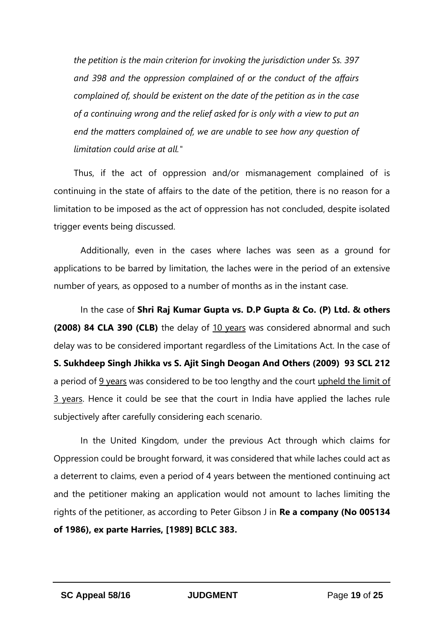*the petition is the main criterion for invoking the jurisdiction under Ss. 397 and 398 and the oppression complained of or the conduct of the affairs complained of, should be existent on the date of the petition as in the case of a continuing wrong and the relief asked for is only with a view to put an end the matters complained of, we are unable to see how any question of limitation could arise at all."*

Thus, if the act of oppression and/or mismanagement complained of is continuing in the state of affairs to the date of the petition, there is no reason for a limitation to be imposed as the act of oppression has not concluded, despite isolated trigger events being discussed.

Additionally, even in the cases where laches was seen as a ground for applications to be barred by limitation, the laches were in the period of an extensive number of years, as opposed to a number of months as in the instant case.

In the case of **Shri Raj Kumar Gupta vs. D.P Gupta & Co. (P) Ltd. & others (2008) 84 CLA 390 (CLB)** the delay of 10 years was considered abnormal and such delay was to be considered important regardless of the Limitations Act. In the case of **S. Sukhdeep Singh Jhikka vs S. Ajit Singh Deogan And Others (2009) 93 SCL 212** a period of 9 years was considered to be too lengthy and the court upheld the limit of 3 years. Hence it could be see that the court in India have applied the laches rule subjectively after carefully considering each scenario.

In the United Kingdom, under the previous Act through which claims for Oppression could be brought forward, it was considered that while laches could act as a deterrent to claims, even a period of 4 years between the mentioned continuing act and the petitioner making an application would not amount to laches limiting the rights of the petitioner, as according to Peter Gibson J in **Re a company (No 005134 of 1986), ex parte Harries, [1989] BCLC 383.**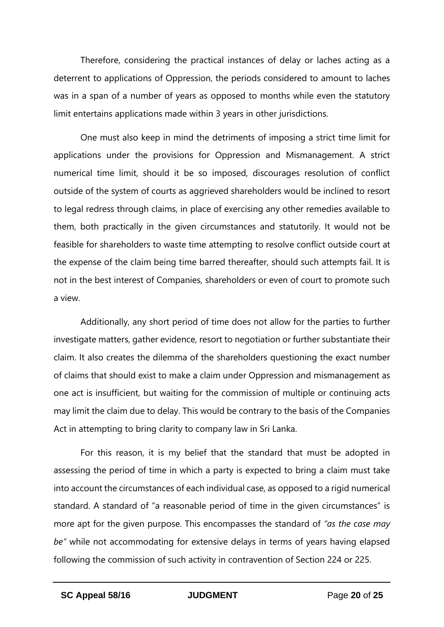Therefore, considering the practical instances of delay or laches acting as a deterrent to applications of Oppression, the periods considered to amount to laches was in a span of a number of years as opposed to months while even the statutory limit entertains applications made within 3 years in other jurisdictions.

One must also keep in mind the detriments of imposing a strict time limit for applications under the provisions for Oppression and Mismanagement. A strict numerical time limit, should it be so imposed, discourages resolution of conflict outside of the system of courts as aggrieved shareholders would be inclined to resort to legal redress through claims, in place of exercising any other remedies available to them, both practically in the given circumstances and statutorily. It would not be feasible for shareholders to waste time attempting to resolve conflict outside court at the expense of the claim being time barred thereafter, should such attempts fail. It is not in the best interest of Companies, shareholders or even of court to promote such a view.

Additionally, any short period of time does not allow for the parties to further investigate matters, gather evidence, resort to negotiation or further substantiate their claim. It also creates the dilemma of the shareholders questioning the exact number of claims that should exist to make a claim under Oppression and mismanagement as one act is insufficient, but waiting for the commission of multiple or continuing acts may limit the claim due to delay. This would be contrary to the basis of the Companies Act in attempting to bring clarity to company law in Sri Lanka.

For this reason, it is my belief that the standard that must be adopted in assessing the period of time in which a party is expected to bring a claim must take into account the circumstances of each individual case, as opposed to a rigid numerical standard. A standard of "a reasonable period of time in the given circumstances" is more apt for the given purpose. This encompasses the standard of *"as the case may be"* while not accommodating for extensive delays in terms of years having elapsed following the commission of such activity in contravention of Section 224 or 225.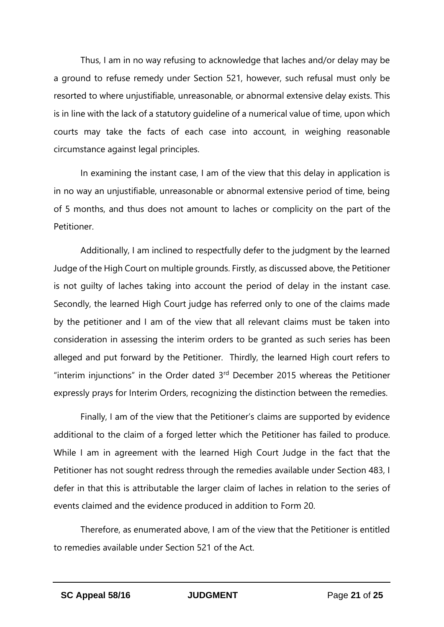Thus, I am in no way refusing to acknowledge that laches and/or delay may be a ground to refuse remedy under Section 521, however, such refusal must only be resorted to where unjustifiable, unreasonable, or abnormal extensive delay exists. This is in line with the lack of a statutory guideline of a numerical value of time, upon which courts may take the facts of each case into account, in weighing reasonable circumstance against legal principles.

In examining the instant case, I am of the view that this delay in application is in no way an unjustifiable, unreasonable or abnormal extensive period of time, being of 5 months, and thus does not amount to laches or complicity on the part of the Petitioner.

Additionally, I am inclined to respectfully defer to the judgment by the learned Judge of the High Court on multiple grounds. Firstly, as discussed above, the Petitioner is not guilty of laches taking into account the period of delay in the instant case. Secondly, the learned High Court judge has referred only to one of the claims made by the petitioner and I am of the view that all relevant claims must be taken into consideration in assessing the interim orders to be granted as such series has been alleged and put forward by the Petitioner. Thirdly, the learned High court refers to "interim injunctions" in the Order dated  $3<sup>rd</sup>$  December 2015 whereas the Petitioner expressly prays for Interim Orders, recognizing the distinction between the remedies.

Finally, I am of the view that the Petitioner's claims are supported by evidence additional to the claim of a forged letter which the Petitioner has failed to produce. While I am in agreement with the learned High Court Judge in the fact that the Petitioner has not sought redress through the remedies available under Section 483, I defer in that this is attributable the larger claim of laches in relation to the series of events claimed and the evidence produced in addition to Form 20.

Therefore, as enumerated above, I am of the view that the Petitioner is entitled to remedies available under Section 521 of the Act.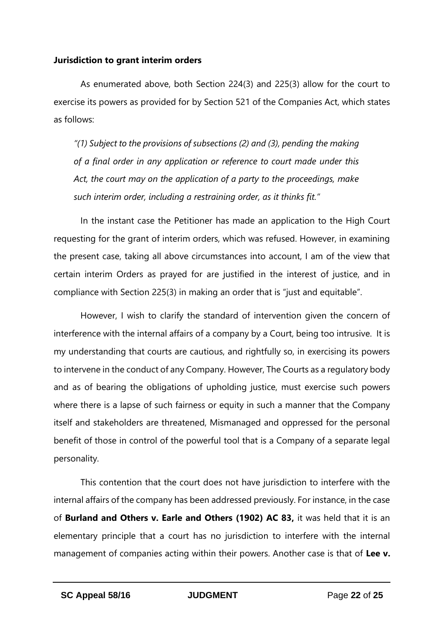### **Jurisdiction to grant interim orders**

As enumerated above, both Section 224(3) and 225(3) allow for the court to exercise its powers as provided for by Section 521 of the Companies Act, which states as follows:

*"(1) Subject to the provisions of subsections (2) and (3), pending the making of a final order in any application or reference to court made under this Act, the court may on the application of a party to the proceedings, make such interim order, including a restraining order, as it thinks fit."*

In the instant case the Petitioner has made an application to the High Court requesting for the grant of interim orders, which was refused. However, in examining the present case, taking all above circumstances into account, I am of the view that certain interim Orders as prayed for are justified in the interest of justice, and in compliance with Section 225(3) in making an order that is "just and equitable".

However, I wish to clarify the standard of intervention given the concern of interference with the internal affairs of a company by a Court, being too intrusive. It is my understanding that courts are cautious, and rightfully so, in exercising its powers to intervene in the conduct of any Company. However, The Courts as a regulatory body and as of bearing the obligations of upholding justice, must exercise such powers where there is a lapse of such fairness or equity in such a manner that the Company itself and stakeholders are threatened, Mismanaged and oppressed for the personal benefit of those in control of the powerful tool that is a Company of a separate legal personality.

This contention that the court does not have jurisdiction to interfere with the internal affairs of the company has been addressed previously. For instance, in the case of **Burland and Others v. Earle and Others (1902) AC 83,** it was held that it is an elementary principle that a court has no jurisdiction to interfere with the internal management of companies acting within their powers. Another case is that of **Lee v.**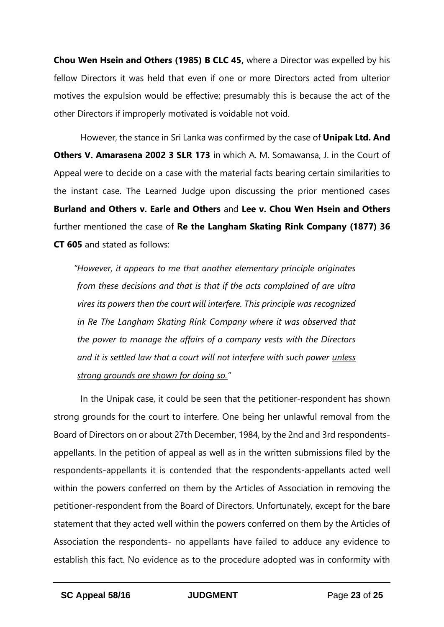**Chou Wen Hsein and Others (1985) B CLC 45,** where a Director was expelled by his fellow Directors it was held that even if one or more Directors acted from ulterior motives the expulsion would be effective; presumably this is because the act of the other Directors if improperly motivated is voidable not void.

However, the stance in Sri Lanka was confirmed by the case of **Unipak Ltd. And Others V. Amarasena 2002 3 SLR 173** in which A. M. Somawansa, J. in the Court of Appeal were to decide on a case with the material facts bearing certain similarities to the instant case. The Learned Judge upon discussing the prior mentioned cases **Burland and Others v. Earle and Others** and **Lee v. Chou Wen Hsein and Others** further mentioned the case of **Re the Langham Skating Rink Company (1877) 36 CT 605** and stated as follows:

*"However, it appears to me that another elementary principle originates from these decisions and that is that if the acts complained of are ultra vires its powers then the court will interfere. This principle was recognized in Re The Langham Skating Rink Company where it was observed that the power to manage the affairs of a company vests with the Directors and it is settled law that a court will not interfere with such power unless strong grounds are shown for doing so."*

In the Unipak case, it could be seen that the petitioner-respondent has shown strong grounds for the court to interfere. One being her unlawful removal from the Board of Directors on or about 27th December, 1984, by the 2nd and 3rd respondentsappellants. In the petition of appeal as well as in the written submissions filed by the respondents-appellants it is contended that the respondents-appellants acted well within the powers conferred on them by the Articles of Association in removing the petitioner-respondent from the Board of Directors. Unfortunately, except for the bare statement that they acted well within the powers conferred on them by the Articles of Association the respondents- no appellants have failed to adduce any evidence to establish this fact. No evidence as to the procedure adopted was in conformity with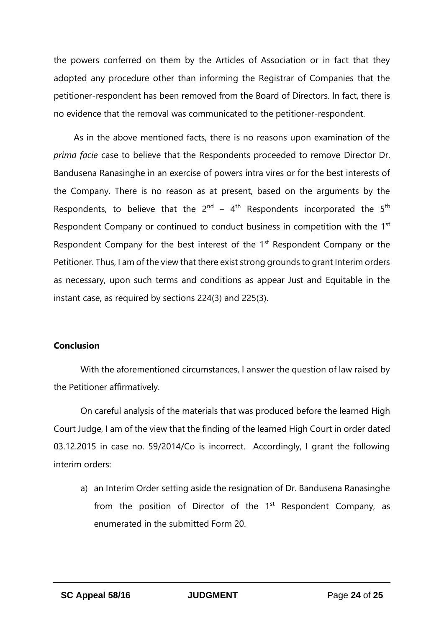the powers conferred on them by the Articles of Association or in fact that they adopted any procedure other than informing the Registrar of Companies that the petitioner-respondent has been removed from the Board of Directors. In fact, there is no evidence that the removal was communicated to the petitioner-respondent.

As in the above mentioned facts, there is no reasons upon examination of the *prima facie* case to believe that the Respondents proceeded to remove Director Dr. Bandusena Ranasinghe in an exercise of powers intra vires or for the best interests of the Company. There is no reason as at present, based on the arguments by the Respondents, to believe that the  $2^{nd} - 4^{th}$  Respondents incorporated the 5<sup>th</sup> Respondent Company or continued to conduct business in competition with the 1<sup>st</sup> Respondent Company for the best interest of the 1<sup>st</sup> Respondent Company or the Petitioner. Thus, I am of the view that there exist strong grounds to grant Interim orders as necessary, upon such terms and conditions as appear Just and Equitable in the instant case, as required by sections 224(3) and 225(3).

#### **Conclusion**

With the aforementioned circumstances, I answer the question of law raised by the Petitioner affirmatively.

On careful analysis of the materials that was produced before the learned High Court Judge, I am of the view that the finding of the learned High Court in order dated 03.12.2015 in case no. 59/2014/Co is incorrect. Accordingly, I grant the following interim orders:

a) an Interim Order setting aside the resignation of Dr. Bandusena Ranasinghe from the position of Director of the  $1<sup>st</sup>$  Respondent Company, as enumerated in the submitted Form 20.